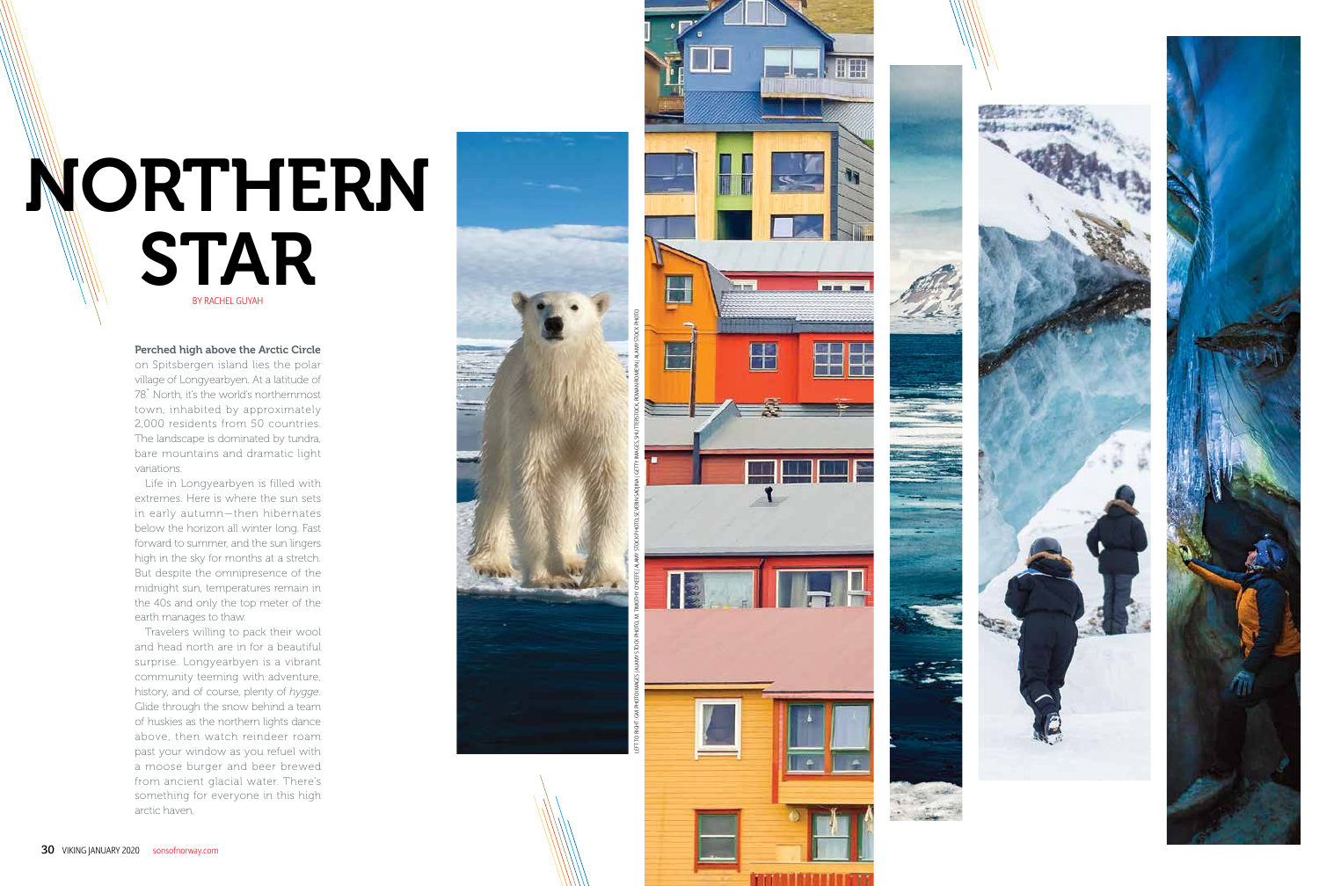



# BY RACHEL GUYAH NORTHERN STAR

Perched high above the Arctic Circle on Spitsbergen island lies the polar

village of Longyearbyen. At a latitude of 78˚ North, it's the world's northernmost town, inhabited by approximately 2,000 residents from 50 countries. The landscape is dominated by tundra, bare mountains and dramatic light variations.

Life in Longyearbyen is filled with extremes. Here is where the sun sets in early autumn—then hibernates below the horizon all winter long. Fast forward to summer, and the sun lingers high in the sky for months at a stretch. But despite the omnipresence of the midnight sun, temperatures remain in the 40s and only the top meter of the earth manages to thaw.

Travelers willing to pack their wool and head north are in for a beautiful surprise. Longyearbyen is a vibrant community teeming with adventure, history, and of course, plenty of *hygge*. Glide through the snow behind a team of huskies as the northern lights dance above, then watch reindeer roam past your window as you refuel with a moose burger and beer brewed from ancient glacial water. There's something for everyone in this high arctic haven.





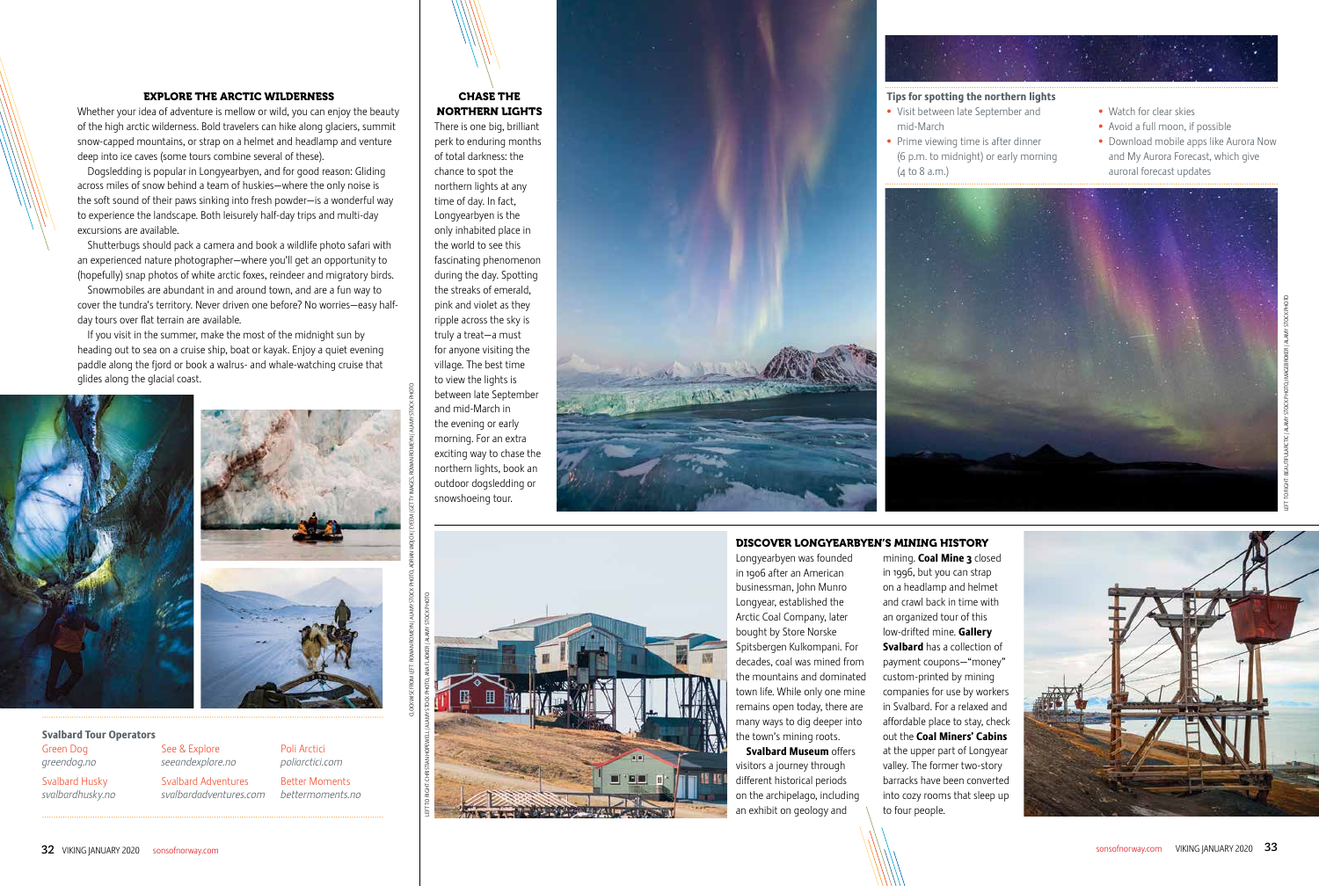## CHASE THE NORTHERN LIGHTS

There is one big, brilliant perk to enduring months of total darkness: the chance to spot the northern lights at any time of day. In fact, Longyearbyen is the only inhabited place in the world to see this fascinating phenomenon during the day. Spotting the streaks of emerald, pink and violet as they ripple across the sky is truly a treat—a must for anyone visiting the village. The best time to view the lights is between late September and mid-March in the evening or early morning. For an extra exciting way to chase the northern lights, book an outdoor dogsledding or snowshoeing tour.



## EXPLORE THE ARCTIC WILDERNESS

Whether your idea of adventure is mellow or wild, you can enjoy the beauty of the high arctic wilderness. Bold travelers can hike along glaciers, summit snow-capped mountains, or strap on a helmet and headlamp and venture deep into ice caves (some tours combine several of these).

Dogsledding is popular in Longyearbyen, and for good reason: Gliding across miles of snow behind a team of huskies—where the only noise is the soft sound of their paws sinking into fresh powder—is a wonderful way to experience the landscape. Both leisurely half-day trips and multi-day excursions are available.

> **Svalbard Museum offers** visitors a journey through different historical periods on the archipelago, including an exhibit on geology and

Shutterbugs should pack a camera and book a wildlife photo safari with an experienced nature photographer—where you'll get an opportunity to (hopefully) snap photos of white arctic foxes, reindeer and migratory birds.

Snowmobiles are abundant in and around town, and are a fun way to cover the tundra's territory. Never driven one before? No worries—easy halfday tours over flat terrain are available.

If you visit in the summer, make the most of the midnight sun by heading out to sea on a cruise ship, boat or kayak. Enjoy a quiet evening paddle along the fjord or book a walrus- and whale-watching cruise that glides along the glacial coast.





# DISCOVER LONGYEARBYEN'S MINING HISTORY

Longyearbyen was founded in 1906 after an American businessman, John Munro Longyear, established the Arctic Coal Company, later bought by Store Norske Spitsbergen Kulkompani. For decades, coal was mined from the mountains and dominated town life. While only one mine remains open today, there are many ways to dig deeper into the town's mining roots.

in 1996, but you can strap on a headlamp and helmet and crawl back in time with an organized tour of this low-drifted mine. Gallery Svalbard has a collection of payment coupons—"money" custom-printed by mining companies for use by workers in Svalbard. For a relaxed and affordable place to stay, check out the Coal Miners' Cabins at the upper part of Longyear valley. The former two-story barracks have been converted into cozy rooms that sleep up to four people.

mining. Coal Mine 3 closed



### Svalbard Tour Operators Green Dog

*greendog.no*

Svalbard Husky *svalbardhusky.no* See & Explore

*seeandexplore.no* Svalbard Adventures *svalbardadventures.com* Poli Arctici

*poliarctici.com* Better Moments *bettermoments.no*

## Tips for spotting the northern lights

- Visit between late September and mid-March
- Prime viewing time is after dinner (6 p.m. to midnight) or early morning (4 to 8 a.m.)



- 
- Watch for clear skies
- Avoid a full moon, if possible
- Download mobile apps like Aurora Now and My Aurora Forecast, which give auroral forecast updates

CLOCKWISE FROM LEFT: ROWAN ROMEYN / ALAMY STOCK PHOTO, ADRIAN WOJCIK / EYEEM / GETTY IMAGES, ROWAN ROMEYN / ALAMY STOCK PHOTO



LEFT TO RIGHT: CHRISTIAN HOPEWELL / ALAMY STOCK PHOTO, ANA FLAKER / ALAMY STOCK PHOTO